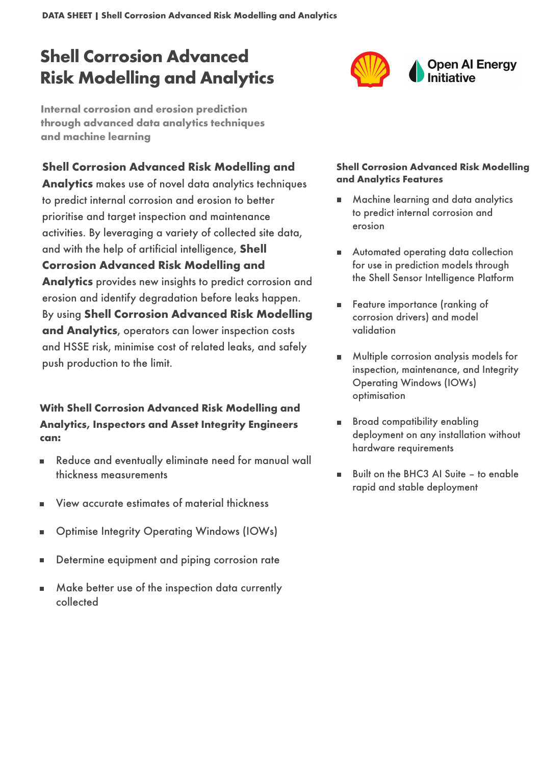DATA SHEET | Shell Corrosion Advanced Risk Modelling and Analytics

# Shell Corrosion Advanced Risk Modelling and Analytics

**Internal corrosion and erosion prediction through advanced data analytics techniques and machine learning** 

## Shell Corrosion Advanced Risk Modelling and

Analytics makes use of novel data analytics techniques to predict internal corrosion and erosion to better prioritise and target inspection and maintenance activities. By leveraging a variety of collected site data, and with the help of artificial intelligence, Shell Corrosion Advanced Risk Modelling and Analytics provides new insights to predict corrosion and erosion and identify degradation before leaks happen. By using Shell Corrosion Advanced Risk Modelling and Analytics, operators can lower inspection costs and HSSE risk, minimise cost of related leaks, and safely push production to the limit.

### With Shell Corrosion Advanced Risk Modelling and Analytics, Inspectors and Asset Integrity Engineers can:

- Reduce and eventually eliminate need for manual wall  $\blacksquare$ thickness measurements
- View accurate estimates of material thickness ٠
- Optimise Integrity Operating Windows (IOWs) п
- Determine equipment and piping corrosion rate
- Make better use of the inspection data currently  $\blacksquare$ collected

#### Shell Corrosion Advanced Risk Modelling and Analytics Features

- Machine learning and data analytics to predict internal corrosion and erosion
- **Automated operating data collection** for use in prediction models through the Shell Sensor Intelligence Platform
- Feature importance (ranking of corrosion drivers) and model validation
- Multiple corrosion analysis models for inspection, maintenance, and Integrity Operating Windows (IOWs) optimisation
- Broad compatibility enabling deployment on any installation without hardware requirements
- Built on the BHC3 AI Suite to enable rapid and stable deployment